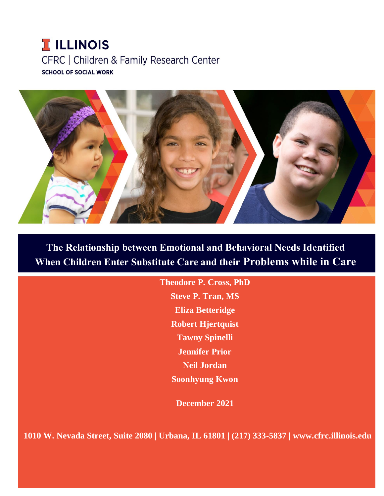# **T ILLINOIS** CFRC | Children & Family Research Center **SCHOOL OF SOCIAL WORK**



**The Relationship between Emotional and Behavioral Needs Identified When Children Enter Substitute Care and their Problems while in Care**

> **Theodore P. Cross, PhD Steve P. Tran, MS Eliza Betteridge Robert Hjertquist Tawny Spinelli Jennifer Prior Neil Jordan Soonhyung Kwon**

> > **December 2021**

**1010 W. Nevada Street, Suite 2080 | Urbana, IL 61801 | (217) 333-5837 | www.cfrc.illinois.edu**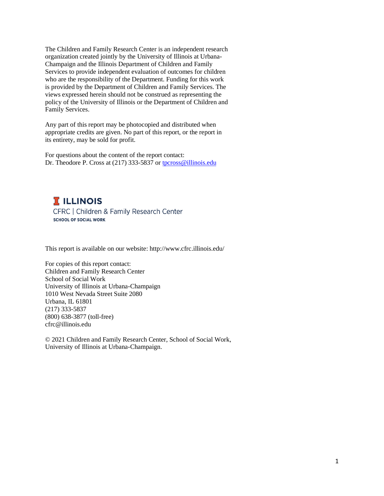The Children and Family Research Center is an independent research organization created jointly by the University of Illinois at Urbana-Champaign and the Illinois Department of Children and Family Services to provide independent evaluation of outcomes for children who are the responsibility of the Department. Funding for this work is provided by the Department of Children and Family Services. The views expressed herein should not be construed as representing the policy of the University of Illinois or the Department of Children and Family Services.

Any part of this report may be photocopied and distributed when appropriate credits are given. No part of this report, or the report in its entirety, may be sold for profit.

For questions about the content of the report contact: Dr. Theodore P. Cross at (217) 333-5837 o[r tpcross@illinois.edu](mailto:tpcross@illinois.edu)

**T** ILLINOIS CFRC | Children & Family Research Center **SCHOOL OF SOCIAL WORK** 

This report is available on our website: http://www.cfrc.illinois.edu/

For copies of this report contact: Children and Family Research Center School of Social Work University of Illinois at Urbana-Champaign 1010 West Nevada Street Suite 2080 Urbana, IL 61801 (217) 333-5837 (800) 638-3877 (toll-free) cfrc@illinois.edu

© 2021 Children and Family Research Center, School of Social Work, University of Illinois at Urbana-Champaign.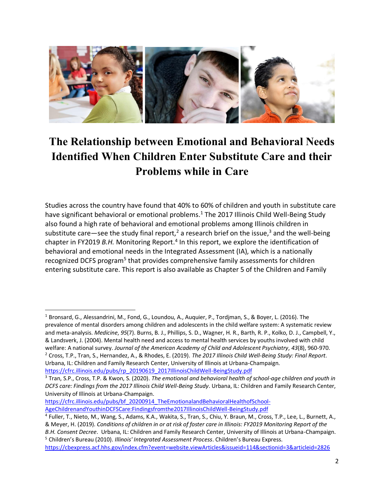

# **The Relationship between Emotional and Behavioral Needs Identified When Children Enter Substitute Care and their Problems while in Care**

Studies across the country have found that 40% to 60% of children and youth in substitute care have significant behavioral or emotional problems.<sup>1</sup> The 2017 Illinois Child Well-Being Study also found a high rate of behavioral and emotional problems among Illinois children in substitute care—see the study final report,<sup>2</sup> a research brief on the issue,<sup>3</sup> and the well-being chapter in FY2019 B.H. Monitoring Report.<sup>4</sup> In this report, we explore the identification of behavioral and emotional needs in the Integrated Assessment (IA), which is a nationally recognized DCFS program<sup>5</sup> that provides comprehensive family assessments for children entering substitute care. This report is also available as Chapter 5 of the Children and Family

[https://cfrc.illinois.edu/pubs/bf\\_20200914\\_TheEmotionalandBehavioralHealthofSchool-](https://cfrc.illinois.edu/pubs/bf_20200914_TheEmotionalandBehavioralHealthofSchool-AgeChildrenandYouthinDCFSCare:Findingsfromthe2017IllinoisChildWell-BeingStudy.pdf)[AgeChildrenandYouthinDCFSCare:Findingsfromthe2017IllinoisChildWell-BeingStudy.pdf](https://cfrc.illinois.edu/pubs/bf_20200914_TheEmotionalandBehavioralHealthofSchool-AgeChildrenandYouthinDCFSCare:Findingsfromthe2017IllinoisChildWell-BeingStudy.pdf)

<sup>1</sup> Bronsard, G., Alessandrini, M., Fond, G., Loundou, A., Auquier, P., Tordjman, S., & Boyer, L. (2016). The prevalence of mental disorders among children and adolescents in the child welfare system: A systematic review and meta-analysis. *Medicine*, *95*(7). Burns, B. J., Phillips, S. D., Wagner, H. R., Barth, R. P., Kolko, D. J., Campbell, Y., & Landsverk, J. (2004). Mental health need and access to mental health services by youths involved with child welfare: A national survey. *Journal of the American Academy of Child and Adolescent Psychiatry*, *43*(8), 960-970. <sup>2</sup> Cross, T.P., Tran, S., Hernandez, A., & Rhodes, E. (2019). *The 2017 Illinois Child Well-Being Study: Final Report*. Urbana, IL: Children and Family Research Center, University of Illinois at Urbana-Champaign. [https://cfrc.illinois.edu/pubs/rp\\_20190619\\_2017IllinoisChildWell-BeingStudy.pdf](https://cfrc.illinois.edu/pubs/rp_20190619_2017IllinoisChildWell-BeingStudy.pdf)

<sup>3</sup> Tran, S.P., Cross, T.P. & Kwon, S. (2020). *The emotional and behavioral health of school-age children and youth in DCFS care: Findings from the 2017 Illinois Child Well-Being Study*. Urbana, IL: Children and Family Research Center, University of Illinois at Urbana-Champaign.

<sup>&</sup>lt;sup>4</sup> Fuller, T., Nieto, M., Wang, S., Adams, K.A., Wakita, S., Tran, S., Chiu, Y. Braun, M., Cross, T.P., Lee, L., Burnett, A., & Meyer, H. (2019). *Conditions of children in or at risk of foster care in Illinois: FY2019 Monitoring Report of the B.H. Consent Decree*. Urbana, IL: Children and Family Research Center, University of Illinois at Urbana-Champaign.

<sup>5</sup> Children's Bureau (2010). *Illinois' Integrated Assessment Process*. Children's Bureau Express. [https://cbexpress.acf.hhs.gov/index.cfm?event=website.viewArticles&issueid=114&sectionid=3&articleid=2826](https://cbexpress.acf.hhs.gov/index.cfm?event=website.viewArticles&issueid=114§ionid=3&articleid=2826)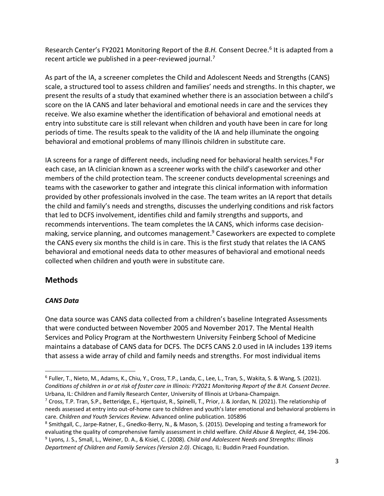Research Center's FY2021 Monitoring Report of the *B.H.* Consent Decree.<sup>6</sup> It is adapted from a recent article we published in a peer-reviewed journal.<sup>7</sup>

As part of the IA, a screener completes the Child and Adolescent Needs and Strengths (CANS) scale, a structured tool to assess children and families' needs and strengths. In this chapter, we present the results of a study that examined whether there is an association between a child's score on the IA CANS and later behavioral and emotional needs in care and the services they receive. We also examine whether the identification of behavioral and emotional needs at entry into substitute care is still relevant when children and youth have been in care for long periods of time. The results speak to the validity of the IA and help illuminate the ongoing behavioral and emotional problems of many Illinois children in substitute care.

IA screens for a range of different needs, including need for behavioral health services.<sup>8</sup> For each case, an IA clinician known as a screener works with the child's caseworker and other members of the child protection team. The screener conducts developmental screenings and teams with the caseworker to gather and integrate this clinical information with information provided by other professionals involved in the case. The team writes an IA report that details the child and family's needs and strengths, discusses the underlying conditions and risk factors that led to DCFS involvement, identifies child and family strengths and supports, and recommends interventions. The team completes the IA CANS, which informs case decisionmaking, service planning, and outcomes management. <sup>9</sup> Caseworkers are expected to complete the CANS every six months the child is in care. This is the first study that relates the IA CANS behavioral and emotional needs data to other measures of behavioral and emotional needs collected when children and youth were in substitute care.

# **Methods**

## *CANS Data*

One data source was CANS data collected from a children's baseline Integrated Assessments that were conducted between November 2005 and November 2017. The Mental Health Services and Policy Program at the Northwestern University Feinberg School of Medicine maintains a database of CANS data for DCFS. The DCFS CANS 2.0 used in IA includes 139 items that assess a wide array of child and family needs and strengths. For most individual items

<sup>6</sup> Fuller, T., Nieto, M., Adams, K., Chiu, Y., Cross, T.P., Landa, C., Lee, L., Tran, S., Wakita, S. & Wang, S. (2021). *Conditions of children in or at risk of foster care in Illinois: FY2021 Monitoring Report of the B.H. Consent Decree*. Urbana, IL: Children and Family Research Center, University of Illinois at Urbana-Champaign.

 $^7$  Cross, T.P. Tran, S.P., Betteridge, E., Hjertquist, R., Spinelli, T., Prior, J. & Jordan, N. (2021). The relationship of needs assessed at entry into out-of-home care to children and youth's later emotional and behavioral problems in care. *Children and Youth Services Review*. Advanced online publication. 105896

<sup>8</sup> Smithgall, C., Jarpe-Ratner, E., Gnedko-Berry, N., & Mason, S. (2015). Developing and testing a framework for evaluating the quality of comprehensive family assessment in child welfare*. Child Abuse & Neglect*, *44*, 194-206. 9 Lyons, J. S., Small, L., Weiner, D. A., & Kisiel, C. (2008). *Child and Adolescent Needs and Strengths: Illinois Department of Children and Family Services (Version 2.0)*. Chicago, IL: Buddin Praed Foundation.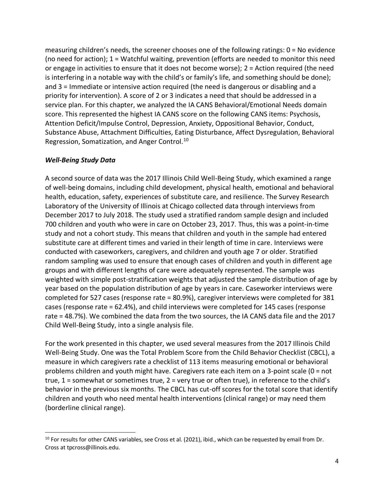measuring children's needs, the screener chooses one of the following ratings: 0 = No evidence (no need for action); 1 = Watchful waiting, prevention (efforts are needed to monitor this need or engage in activities to ensure that it does not become worse); 2 = Action required (the need is interfering in a notable way with the child's or family's life, and something should be done); and 3 = Immediate or intensive action required (the need is dangerous or disabling and a priority for intervention). A score of 2 or 3 indicates a need that should be addressed in a service plan. For this chapter, we analyzed the IA CANS Behavioral/Emotional Needs domain score. This represented the highest IA CANS score on the following CANS items: Psychosis, Attention Deficit/Impulse Control, Depression, Anxiety, Oppositional Behavior, Conduct, Substance Abuse, Attachment Difficulties, Eating Disturbance, Affect Dysregulation, Behavioral Regression, Somatization, and Anger Control.<sup>10</sup>

#### *Well-Being Study Data*

A second source of data was the 2017 Illinois Child Well-Being Study, which examined a range of well-being domains, including child development, physical health, emotional and behavioral health, education, safety, experiences of substitute care, and resilience. The Survey Research Laboratory of the University of Illinois at Chicago collected data through interviews from December 2017 to July 2018. The study used a stratified random sample design and included 700 children and youth who were in care on October 23, 2017. Thus, this was a point-in-time study and not a cohort study. This means that children and youth in the sample had entered substitute care at different times and varied in their length of time in care. Interviews were conducted with caseworkers, caregivers, and children and youth age 7 or older. Stratified random sampling was used to ensure that enough cases of children and youth in different age groups and with different lengths of care were adequately represented. The sample was weighted with simple post-stratification weights that adjusted the sample distribution of age by year based on the population distribution of age by years in care. Caseworker interviews were completed for 527 cases (response rate = 80.9%), caregiver interviews were completed for 381 cases (response rate = 62.4%), and child interviews were completed for 145 cases (response rate = 48.7%). We combined the data from the two sources, the IA CANS data file and the 2017 Child Well-Being Study, into a single analysis file.

For the work presented in this chapter, we used several measures from the 2017 Illinois Child Well-Being Study. One was the Total Problem Score from the Child Behavior Checklist (CBCL), a measure in which caregivers rate a checklist of 113 items measuring emotional or behavioral problems children and youth might have. Caregivers rate each item on a 3-point scale (0 = not true, 1 = somewhat or sometimes true, 2 = very true or often true), in reference to the child's behavior in the previous six months. The CBCL has cut-off scores for the total score that identify children and youth who need mental health interventions (clinical range) or may need them (borderline clinical range).

 $10$  For results for other CANS variables, see Cross et al. (2021), ibid., which can be requested by email from Dr. Cross at tpcross@illinois.edu.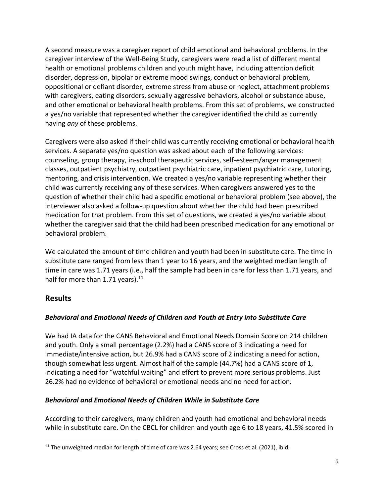A second measure was a caregiver report of child emotional and behavioral problems. In the caregiver interview of the Well-Being Study, caregivers were read a list of different mental health or emotional problems children and youth might have, including attention deficit disorder, depression, bipolar or extreme mood swings, conduct or behavioral problem, oppositional or defiant disorder, extreme stress from abuse or neglect, attachment problems with caregivers, eating disorders, sexually aggressive behaviors, alcohol or substance abuse, and other emotional or behavioral health problems. From this set of problems, we constructed a yes/no variable that represented whether the caregiver identified the child as currently having *any* of these problems.

Caregivers were also asked if their child was currently receiving emotional or behavioral health services. A separate yes/no question was asked about each of the following services: counseling, group therapy, in-school therapeutic services, self-esteem/anger management classes, outpatient psychiatry, outpatient psychiatric care, inpatient psychiatric care, tutoring, mentoring, and crisis intervention. We created a yes/no variable representing whether their child was currently receiving any of these services. When caregivers answered yes to the question of whether their child had a specific emotional or behavioral problem (see above), the interviewer also asked a follow-up question about whether the child had been prescribed medication for that problem. From this set of questions, we created a yes/no variable about whether the caregiver said that the child had been prescribed medication for any emotional or behavioral problem.

We calculated the amount of time children and youth had been in substitute care. The time in substitute care ranged from less than 1 year to 16 years, and the weighted median length of time in care was 1.71 years (i.e., half the sample had been in care for less than 1.71 years, and half for more than 1.71 years). $11$ 

## **Results**

## *Behavioral and Emotional Needs of Children and Youth at Entry into Substitute Care*

We had IA data for the CANS Behavioral and Emotional Needs Domain Score on 214 children and youth. Only a small percentage (2.2%) had a CANS score of 3 indicating a need for immediate/intensive action, but 26.9% had a CANS score of 2 indicating a need for action, though somewhat less urgent. Almost half of the sample (44.7%) had a CANS score of 1, indicating a need for "watchful waiting" and effort to prevent more serious problems. Just 26.2% had no evidence of behavioral or emotional needs and no need for action.

#### *Behavioral and Emotional Needs of Children While in Substitute Care*

According to their caregivers, many children and youth had emotional and behavioral needs while in substitute care. On the CBCL for children and youth age 6 to 18 years, 41.5% scored in

 $11$  The unweighted median for length of time of care was 2.64 years; see Cross et al. (2021), ibid.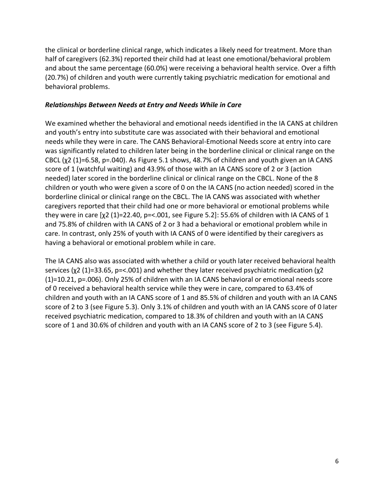the clinical or borderline clinical range, which indicates a likely need for treatment. More than half of caregivers (62.3%) reported their child had at least one emotional/behavioral problem and about the same percentage (60.0%) were receiving a behavioral health service. Over a fifth (20.7%) of children and youth were currently taking psychiatric medication for emotional and behavioral problems.

#### *Relationships Between Needs at Entry and Needs While in Care*

We examined whether the behavioral and emotional needs identified in the IA CANS at children and youth's entry into substitute care was associated with their behavioral and emotional needs while they were in care. The CANS Behavioral-Emotional Needs score at entry into care was significantly related to children later being in the borderline clinical or clinical range on the CBCL  $(\chi^2$  (1)=6.58, p=.040). As Figure 5.1 shows, 48.7% of children and youth given an IA CANS score of 1 (watchful waiting) and 43.9% of those with an IA CANS score of 2 or 3 (action needed) later scored in the borderline clinical or clinical range on the CBCL. None of the 8 children or youth who were given a score of 0 on the IA CANS (no action needed) scored in the borderline clinical or clinical range on the CBCL. The IA CANS was associated with whether caregivers reported that their child had one or more behavioral or emotional problems while they were in care  $[\chi^2 (1) = 22.40$ , p=<.001, see Figure 5.2]: 55.6% of children with IA CANS of 1 and 75.8% of children with IA CANS of 2 or 3 had a behavioral or emotional problem while in care. In contrast, only 25% of youth with IA CANS of 0 were identified by their caregivers as having a behavioral or emotional problem while in care.

The IA CANS also was associated with whether a child or youth later received behavioral health services (χ2 (1)=33.65, p=<.001) and whether they later received psychiatric medication (χ2 (1)=10.21, p=.006). Only 25% of children with an IA CANS behavioral or emotional needs score of 0 received a behavioral health service while they were in care, compared to 63.4% of children and youth with an IA CANS score of 1 and 85.5% of children and youth with an IA CANS score of 2 to 3 (see Figure 5.3). Only 3.1% of children and youth with an IA CANS score of 0 later received psychiatric medication, compared to 18.3% of children and youth with an IA CANS score of 1 and 30.6% of children and youth with an IA CANS score of 2 to 3 (see Figure 5.4).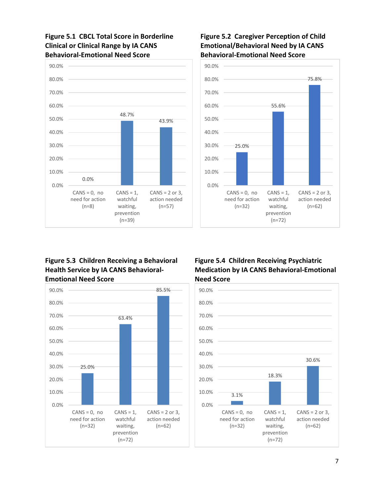**Figure 5.1 CBCL Total Score in Borderline Clinical or Clinical Range by IA CANS Behavioral-Emotional Need Score**



#### **Figure 5.2 Caregiver Perception of Child Emotional/Behavioral Need by IA CANS Behavioral-Emotional Need Score**



#### **Figure 5.3 Children Receiving a Behavioral Health Service by IA CANS Behavioral-Emotional Need Score**



## **Figure 5.4 Children Receiving Psychiatric Medication by IA CANS Behavioral-Emotional Need Score**

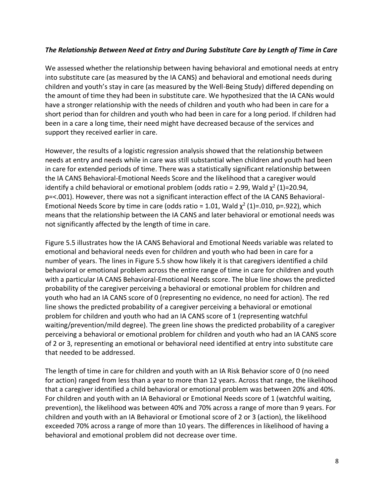#### *The Relationship Between Need at Entry and During Substitute Care by Length of Time in Care*

We assessed whether the relationship between having behavioral and emotional needs at entry into substitute care (as measured by the IA CANS) and behavioral and emotional needs during children and youth's stay in care (as measured by the Well-Being Study) differed depending on the amount of time they had been in substitute care. We hypothesized that the IA CANs would have a stronger relationship with the needs of children and youth who had been in care for a short period than for children and youth who had been in care for a long period. If children had been in a care a long time, their need might have decreased because of the services and support they received earlier in care.

However, the results of a logistic regression analysis showed that the relationship between needs at entry and needs while in care was still substantial when children and youth had been in care for extended periods of time. There was a statistically significant relationship between the IA CANS Behavioral-Emotional Needs Score and the likelihood that a caregiver would identify a child behavioral or emotional problem (odds ratio = 2.99, Wald  $\chi^2$  (1)=20.94, p=<.001). However, there was not a significant interaction effect of the IA CANS Behavioral-Emotional Needs Score by time in care (odds ratio = 1.01, Wald  $\chi^2$  (1)=.010, p=.922), which means that the relationship between the IA CANS and later behavioral or emotional needs was not significantly affected by the length of time in care.

Figure 5.5 illustrates how the IA CANS Behavioral and Emotional Needs variable was related to emotional and behavioral needs even for children and youth who had been in care for a number of years. The lines in Figure 5.5 show how likely it is that caregivers identified a child behavioral or emotional problem across the entire range of time in care for children and youth with a particular IA CANS Behavioral-Emotional Needs score. The blue line shows the predicted probability of the caregiver perceiving a behavioral or emotional problem for children and youth who had an IA CANS score of 0 (representing no evidence, no need for action). The red line shows the predicted probability of a caregiver perceiving a behavioral or emotional problem for children and youth who had an IA CANS score of 1 (representing watchful waiting/prevention/mild degree). The green line shows the predicted probability of a caregiver perceiving a behavioral or emotional problem for children and youth who had an IA CANS score of 2 or 3, representing an emotional or behavioral need identified at entry into substitute care that needed to be addressed.

The length of time in care for children and youth with an IA Risk Behavior score of 0 (no need for action) ranged from less than a year to more than 12 years. Across that range, the likelihood that a caregiver identified a child behavioral or emotional problem was between 20% and 40%. For children and youth with an IA Behavioral or Emotional Needs score of 1 (watchful waiting, prevention), the likelihood was between 40% and 70% across a range of more than 9 years. For children and youth with an IA Behavioral or Emotional score of 2 or 3 (action), the likelihood exceeded 70% across a range of more than 10 years. The differences in likelihood of having a behavioral and emotional problem did not decrease over time.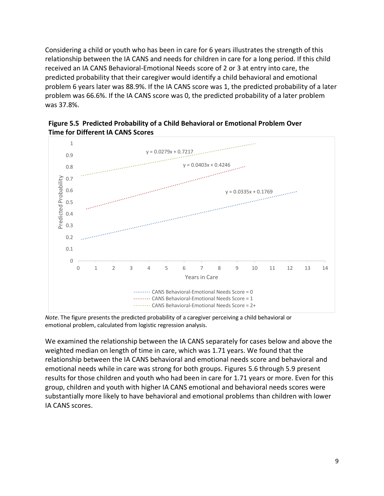Considering a child or youth who has been in care for 6 years illustrates the strength of this relationship between the IA CANS and needs for children in care for a long period. If this child received an IA CANS Behavioral-Emotional Needs score of 2 or 3 at entry into care, the predicted probability that their caregiver would identify a child behavioral and emotional problem 6 years later was 88.9%. If the IA CANS score was 1, the predicted probability of a later problem was 66.6%. If the IA CANS score was 0, the predicted probability of a later problem was 37.8%.





*Note*. The figure presents the predicted probability of a caregiver perceiving a child behavioral or emotional problem, calculated from logistic regression analysis.

We examined the relationship between the IA CANS separately for cases below and above the weighted median on length of time in care, which was 1.71 years. We found that the relationship between the IA CANS behavioral and emotional needs score and behavioral and emotional needs while in care was strong for both groups. Figures 5.6 through 5.9 present results for those children and youth who had been in care for 1.71 years or more. Even for this group, children and youth with higher IA CANS emotional and behavioral needs scores were substantially more likely to have behavioral and emotional problems than children with lower IA CANS scores.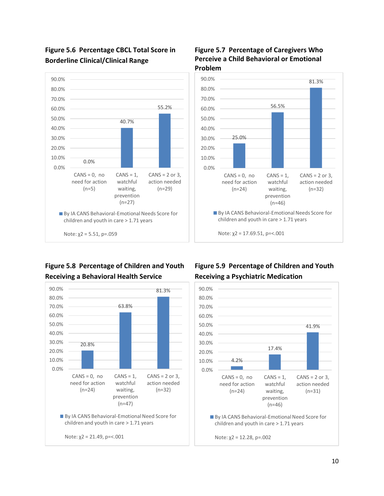

# **Figure 5.6 Percentage CBCL Total Score in Borderline Clinical/Clinical Range**

# **Figure 5.8 Percentage of Children and Youth Receiving a Behavioral Health Service**



#### **Figure 5.7 Percentage of Caregivers Who Perceive a Child Behavioral or Emotional Problem**



## **Figure 5.9 Percentage of Children and Youth Receiving a Psychiatric Medication**

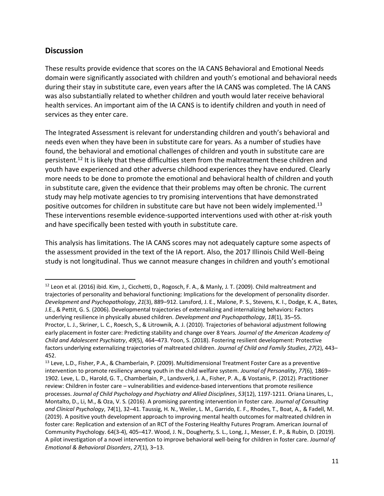## **Discussion**

These results provide evidence that scores on the IA CANS Behavioral and Emotional Needs domain were significantly associated with children and youth's emotional and behavioral needs during their stay in substitute care, even years after the IA CANS was completed. The IA CANS was also substantially related to whether children and youth would later receive behavioral health services. An important aim of the IA CANS is to identify children and youth in need of services as they enter care.

The Integrated Assessment is relevant for understanding children and youth's behavioral and needs even when they have been in substitute care for years. As a number of studies have found, the behavioral and emotional challenges of children and youth in substitute care are persistent.<sup>12</sup> It is likely that these difficulties stem from the maltreatment these children and youth have experienced and other adverse childhood experiences they have endured. Clearly more needs to be done to promote the emotional and behavioral health of children and youth in substitute care, given the evidence that their problems may often be chronic. The current study may help motivate agencies to try promising interventions that have demonstrated positive outcomes for children in substitute care but have not been widely implemented.<sup>13</sup> These interventions resemble evidence-supported interventions used with other at-risk youth and have specifically been tested with youth in substitute care.

This analysis has limitations. The IA CANS scores may not adequately capture some aspects of the assessment provided in the text of the IA report. Also, the 2017 Illinois Child Well-Being study is not longitudinal. Thus we cannot measure changes in children and youth's emotional

<sup>&</sup>lt;sup>12</sup> Leon et al. (2016) ibid. Kim, J., Cicchetti, D., Rogosch, F. A., & Manly, J. T. (2009). Child maltreatment and trajectories of personality and behavioral functioning: Implications for the development of personality disorder. *Development and Psychopathology*, *21*(3), 889–912. Lansford, J. E., Malone, P. S., Stevens, K. I., Dodge, K. A., Bates, J.E., & Pettit, G. S. (2006). Developmental trajectories of externalizing and internalizing behaviors: Factors underlying resilience in physically abused children. *Development and Psychopathology*, *18*(1), 35–55. Proctor, L. J., Skriner, L. C., Roesch, S., & Litrownik, A. J. (2010). Trajectories of behavioral adjustment following early placement in foster care: Predicting stability and change over 8 Years. *Journal of the American Academy of Child and Adolescent Psychiatry*, *49*(5), 464–473. Yoon, S. (2018). Fostering resilient development: Protective factors underlying externalizing trajectories of maltreated children. *Journal of Child and Family Studies*, *27*(2), 443– 452.

<sup>13</sup> Leve, L.D., Fisher, P.A., & Chamberlain, P. (2009). Multidimensional Treatment Foster Care as a preventive intervention to promote resiliency among youth in the child welfare system. *Journal of Personality*, *77*(6), 1869– 1902. Leve, L. D., Harold, G. T., Chamberlain, P., Landsverk, J. A., Fisher, P. A., & Vostanis, P. (2012). Practitioner review: Children in foster care – vulnerabilities and evidence-based interventions that promote resilience processes. *Journal of Child Psychology and Psychiatry and Allied Disciplines*, *53*(12), 1197-1211. Oriana Linares, L., Montalto, D., Li, M., & Oza, V. S. (2016). A promising parenting intervention in foster care. *Journal of Consulting and Clinical Psychology*, 7*4*(1), 32–41. Taussig, H. N., Weiler, L. M., Garrido, E. F., Rhodes, T., Boat, A., & Fadell, M. (2019). A positive youth development approach to improving mental health outcomes for maltreated children in foster care: Replication and extension of an RCT of the Fostering Healthy Futures Program. American Journal of Community Psychology. 64(3-4), 405–417. Wood, J. N., Dougherty, S. L., Long, J., Messer, E. P., & Rubin, D. (2019). A pilot investigation of a novel intervention to improve behavioral well-being for children in foster care. *Journal of Emotional & Behavioral Disorders*, *27*(1), 3–13.